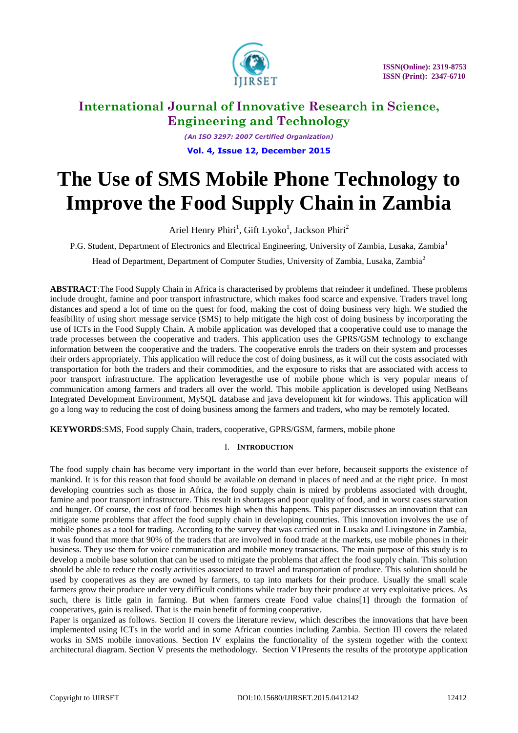

*(An ISO 3297: 2007 Certified Organization)* **Vol. 4, Issue 12, December 2015**

# **The Use of SMS Mobile Phone Technology to Improve the Food Supply Chain in Zambia**

Ariel Henry Phiri<sup>1</sup>, Gift Lyoko<sup>1</sup>, Jackson Phiri<sup>2</sup>

P.G. Student, Department of Electronics and Electrical Engineering, University of Zambia, Lusaka, Zambia<sup>1</sup>

Head of Department, Department of Computer Studies, University of Zambia, Lusaka, Zambia<sup>2</sup>

**ABSTRACT**:The Food Supply Chain in Africa is characterised by problems that reindeer it undefined. These problems include drought, famine and poor transport infrastructure, which makes food scarce and expensive. Traders travel long distances and spend a lot of time on the quest for food, making the cost of doing business very high. We studied the feasibility of using short message service (SMS) to help mitigate the high cost of doing business by incorporating the use of ICTs in the Food Supply Chain. A mobile application was developed that a cooperative could use to manage the trade processes between the cooperative and traders. This application uses the GPRS/GSM technology to exchange information between the cooperative and the traders. The cooperative enrols the traders on their system and processes their orders appropriately. This application will reduce the cost of doing business, as it will cut the costs associated with transportation for both the traders and their commodities, and the exposure to risks that are associated with access to poor transport infrastructure. The application leveragesthe use of mobile phone which is very popular means of communication among farmers and traders all over the world. This mobile application is developed using NetBeans Integrated Development Environment, MySQL database and java development kit for windows. This application will go a long way to reducing the cost of doing business among the farmers and traders, who may be remotely located.

**KEYWORDS**:SMS, Food supply Chain, traders, cooperative, GPRS/GSM, farmers, mobile phone

### I. **INTRODUCTION**

The food supply chain has become very important in the world than ever before, becauseit supports the existence of mankind. It is for this reason that food should be available on demand in places of need and at the right price. In most developing countries such as those in Africa, the food supply chain is mired by problems associated with drought, famine and poor transport infrastructure. This result in shortages and poor quality of food, and in worst cases starvation and hunger. Of course, the cost of food becomes high when this happens. This paper discusses an innovation that can mitigate some problems that affect the food supply chain in developing countries. This innovation involves the use of mobile phones as a tool for trading. According to the survey that was carried out in Lusaka and Livingstone in Zambia, it was found that more that 90% of the traders that are involved in food trade at the markets, use mobile phones in their business. They use them for voice communication and mobile money transactions. The main purpose of this study is to develop a mobile base solution that can be used to mitigate the problems that affect the food supply chain. This solution should be able to reduce the costly activities associated to travel and transportation of produce. This solution should be used by cooperatives as they are owned by farmers, to tap into markets for their produce. Usually the small scale farmers grow their produce under very difficult conditions while trader buy their produce at very exploitative prices. As such, there is little gain in farming. But when farmers create Food value chains[1] through the formation of cooperatives, gain is realised. That is the main benefit of forming cooperative.

Paper is organized as follows. Section II covers the literature review, which describes the innovations that have been implemented using ICTs in the world and in some African counties including Zambia. Section III covers the related works in SMS mobile innovations. Section IV explains the functionality of the system together with the context architectural diagram. Section V presents the methodology. Section V1Presents the results of the prototype application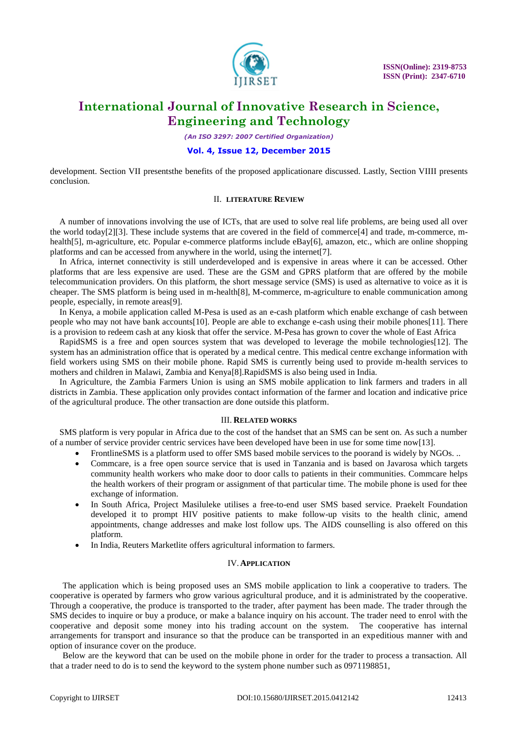

*(An ISO 3297: 2007 Certified Organization)*

### **Vol. 4, Issue 12, December 2015**

development. Section VII presentsthe benefits of the proposed applicationare discussed. Lastly, Section VIIII presents conclusion.

#### II. **LITERATURE REVIEW**

A number of innovations involving the use of ICTs, that are used to solve real life problems, are being used all over the world today[2][3]. These include systems that are covered in the field of commerce[4] and trade, m-commerce, mhealth[5], m-agriculture, etc. Popular e-commerce platforms include eBay[6], amazon, etc., which are online shopping platforms and can be accessed from anywhere in the world, using the internet[7].

In Africa, internet connectivity is still underdeveloped and is expensive in areas where it can be accessed. Other platforms that are less expensive are used. These are the GSM and GPRS platform that are offered by the mobile telecommunication providers. On this platform, the short message service (SMS) is used as alternative to voice as it is cheaper. The SMS platform is being used in m-health[8], M-commerce, m-agriculture to enable communication among people, especially, in remote areas[9].

In Kenya, a mobile application called M-Pesa is used as an e-cash platform which enable exchange of cash between people who may not have bank accounts[10]. People are able to exchange e-cash using their mobile phones[11]. There is a provision to redeem cash at any kiosk that offer the service. M-Pesa has grown to cover the whole of East Africa

RapidSMS is a free and open sources system that was developed to leverage the mobile technologies[12]. The system has an administration office that is operated by a medical centre. This medical centre exchange information with field workers using SMS on their mobile phone. Rapid SMS is currently being used to provide m-health services to mothers and children in Malawi, Zambia and Kenya[8].RapidSMS is also being used in India.

In Agriculture, the Zambia Farmers Union is using an SMS mobile application to link farmers and traders in all districts in Zambia. These application only provides contact information of the farmer and location and indicative price of the agricultural produce. The other transaction are done outside this platform.

#### III. **RELATED WORKS**

SMS platform is very popular in Africa due to the cost of the handset that an SMS can be sent on. As such a number of a number of service provider centric services have been developed have been in use for some time now[13].

- FrontlineSMS is a platform used to offer SMS based mobile services to the poorand is widely by NGOs. ..
- Commcare, is a free open source service that is used in Tanzania and is based on Javarosa which targets community health workers who make door to door calls to patients in their communities. Commcare helps the health workers of their program or assignment of that particular time. The mobile phone is used for thee exchange of information.
- In South Africa, Project Masiluleke utilises a free-to-end user SMS based service. Praekelt Foundation developed it to prompt HIV positive patients to make follow-up visits to the health clinic, amend appointments, change addresses and make lost follow ups. The AIDS counselling is also offered on this platform.
- In India, Reuters Marketlite offers agricultural information to farmers.

#### IV.**APPLICATION**

The application which is being proposed uses an SMS mobile application to link a cooperative to traders. The cooperative is operated by farmers who grow various agricultural produce, and it is administrated by the cooperative. Through a cooperative, the produce is transported to the trader, after payment has been made. The trader through the SMS decides to inquire or buy a produce, or make a balance inquiry on his account. The trader need to enrol with the cooperative and deposit some money into his trading account on the system. The cooperative has internal arrangements for transport and insurance so that the produce can be transported in an expeditious manner with and option of insurance cover on the produce.

Below are the keyword that can be used on the mobile phone in order for the trader to process a transaction. All that a trader need to do is to send the keyword to the system phone number such as 0971198851,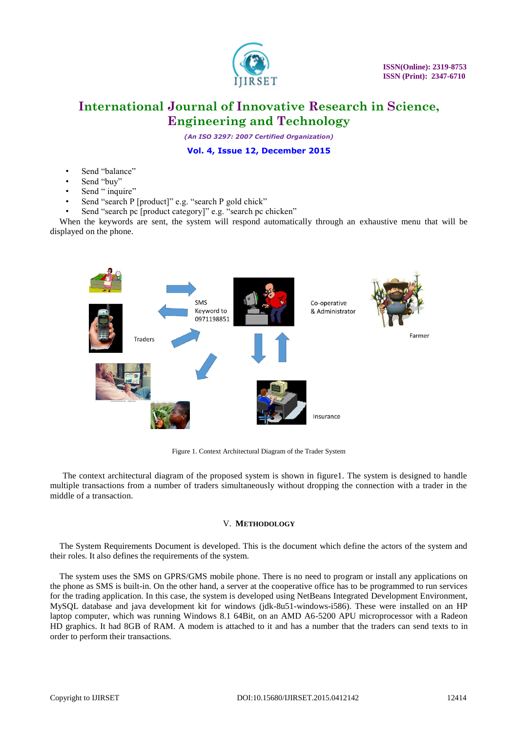

*(An ISO 3297: 2007 Certified Organization)*

### **Vol. 4, Issue 12, December 2015**

- Send "balance"
- Send "buy"
- Send "inquire"
- Send "search P [product]" e.g. "search P gold chick"
- Send "search pc [product category]" e.g. "search pc chicken"

When the keywords are sent, the system will respond automatically through an exhaustive menu that will be displayed on the phone.



Figure 1. Context Architectural Diagram of the Trader System

The context architectural diagram of the proposed system is shown in figure1. The system is designed to handle multiple transactions from a number of traders simultaneously without dropping the connection with a trader in the middle of a transaction.

#### V. **METHODOLOGY**

The System Requirements Document is developed. This is the document which define the actors of the system and their roles. It also defines the requirements of the system.

The system uses the SMS on GPRS/GMS mobile phone. There is no need to program or install any applications on the phone as SMS is built-in. On the other hand, a server at the cooperative office has to be programmed to run services for the trading application. In this case, the system is developed using NetBeans Integrated Development Environment, MySQL database and java development kit for windows (jdk-8u51-windows-i586). These were installed on an HP laptop computer, which was running Windows 8.1 64Bit, on an AMD A6-5200 APU microprocessor with a Radeon HD graphics. It had 8GB of RAM. A modem is attached to it and has a number that the traders can send texts to in order to perform their transactions.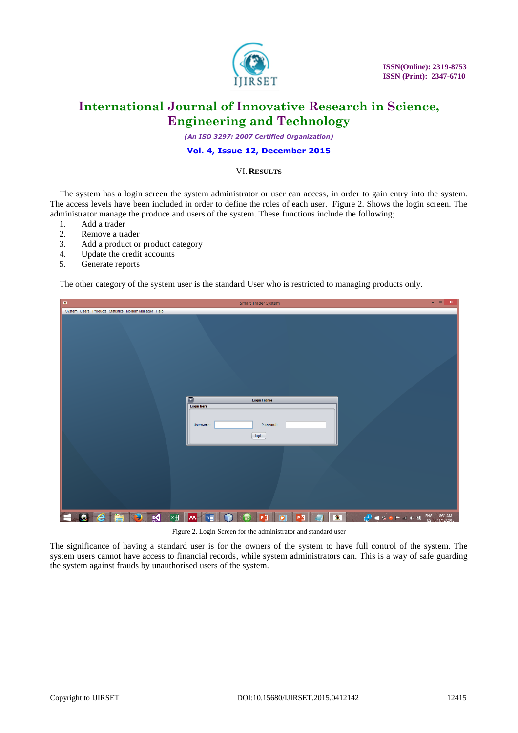

*(An ISO 3297: 2007 Certified Organization)*

### **Vol. 4, Issue 12, December 2015**

### VI.**RESULTS**

The system has a login screen the system administrator or user can access, in order to gain entry into the system. The access levels have been included in order to define the roles of each user. Figure 2. Shows the login screen. The administrator manage the produce and users of the system. These functions include the following;

- 1. Add a trader
- 2. Remove a trader
- 3. Add a product or product category
- 4. Update the credit accounts
- 5. Generate reports

The other category of the system user is the standard User who is restricted to managing products only.

| $\mathbf{R}$                                        | <b>Smart Trader System</b>                                        | $ -$<br>$\mathbf{X}$                                                                                                                                                                                                                                                                                                                                                                                                        |
|-----------------------------------------------------|-------------------------------------------------------------------|-----------------------------------------------------------------------------------------------------------------------------------------------------------------------------------------------------------------------------------------------------------------------------------------------------------------------------------------------------------------------------------------------------------------------------|
| System Users Products Statistics Modem Manager Help |                                                                   |                                                                                                                                                                                                                                                                                                                                                                                                                             |
|                                                     |                                                                   |                                                                                                                                                                                                                                                                                                                                                                                                                             |
|                                                     | $\blacksquare$<br><b>Login Frame</b>                              |                                                                                                                                                                                                                                                                                                                                                                                                                             |
|                                                     | <b>Login here</b><br>Password:<br>Username:<br>login              |                                                                                                                                                                                                                                                                                                                                                                                                                             |
|                                                     |                                                                   |                                                                                                                                                                                                                                                                                                                                                                                                                             |
| $\mathbf{M}$<br>o<br>⊏                              | $x \equiv$<br>$w \equiv$<br>P <sup>3</sup><br>las.<br>n<br>$\sim$ | $\begin{picture}(150,10) \put(0,0){\line(1,0){10}} \put(15,0){\line(1,0){10}} \put(15,0){\line(1,0){10}} \put(15,0){\line(1,0){10}} \put(15,0){\line(1,0){10}} \put(15,0){\line(1,0){10}} \put(15,0){\line(1,0){10}} \put(15,0){\line(1,0){10}} \put(15,0){\line(1,0){10}} \put(15,0){\line(1,0){10}} \put(15,0){\line(1,0){10}} \put(15,0){\line($<br>ENG<br>8:31 AM<br>$\overline{\mathbf{2}}$<br>11/12/2015<br><b>US</b> |

Figure 2. Login Screen for the administrator and standard user

The significance of having a standard user is for the owners of the system to have full control of the system. The system users cannot have access to financial records, while system administrators can. This is a way of safe guarding the system against frauds by unauthorised users of the system.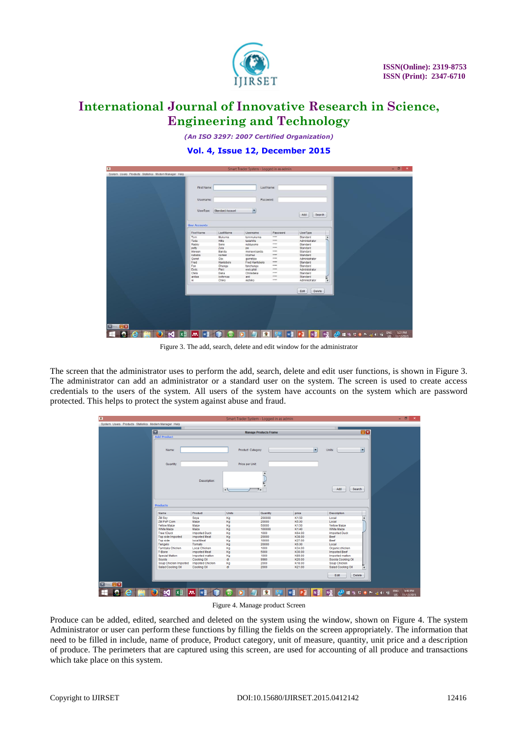

*(An ISO 3297: 2007 Certified Organization)*

**Vol. 4, Issue 12, December 2015**

| لمتنا                                                |                      |                  | Smart Trader System - Logged in as admin |            |                                  | $  -$                                                            |
|------------------------------------------------------|----------------------|------------------|------------------------------------------|------------|----------------------------------|------------------------------------------------------------------|
| System Users Products Statistics Modern Manager Help |                      |                  |                                          |            |                                  |                                                                  |
|                                                      |                      |                  |                                          |            |                                  |                                                                  |
|                                                      | First Name:          |                  | Last Name:                               |            |                                  |                                                                  |
|                                                      |                      |                  |                                          |            |                                  |                                                                  |
|                                                      | Username:            |                  | Password:                                |            |                                  |                                                                  |
|                                                      | UserType:            | Standard Account | ×                                        |            |                                  |                                                                  |
|                                                      |                      |                  |                                          |            | Search<br>Add                    |                                                                  |
|                                                      |                      |                  |                                          |            |                                  |                                                                  |
|                                                      | <b>User Accounts</b> |                  |                                          |            |                                  |                                                                  |
|                                                      | First Name           | Last Name        | Username                                 | Password   | UserType                         |                                                                  |
| Tom                                                  |                      | Mukuma           | tommukuma                                |            | Standard<br>×                    |                                                                  |
|                                                      | Tada                 | <b>Hills</b>     | tadahilis                                | ****<br>"  | Administrator                    |                                                                  |
| petty                                                | Rubby                | Soko<br>Zulu     | rubbysoko<br>pe                          |            | Standard<br>Standard             |                                                                  |
|                                                      | Moreen               | Banda            | moreenbanda                              | ****       | Standard                         |                                                                  |
|                                                      | kababa               | kamwi            | kkamwi                                   | ****       | Standard                         |                                                                  |
|                                                      | Gorret               | Cox              | gorretcox                                | ****       | Administrator                    |                                                                  |
| Fred                                                 |                      | Hantobolo        | Fred Hantobolo                           |            | Standard                         |                                                                  |
| Fan                                                  |                      | Chungu           | fanchungu                                | ****       | Standard                         |                                                                  |
|                                                      | Enric                | Phiri            | enricphiri                               |            | Administrator                    |                                                                  |
|                                                      | Chris                | Daka             | Chrisdaka                                | ****       | Standard                         |                                                                  |
|                                                      | anitaa               | bothmaa          | anii                                     | ****       | Standard                         |                                                                  |
| A                                                    |                      | Chiko            | Alchiko                                  |            | ų<br>Administrator               |                                                                  |
|                                                      |                      |                  |                                          |            |                                  |                                                                  |
|                                                      |                      |                  |                                          |            | Edit<br>Delete                   |                                                                  |
|                                                      |                      |                  |                                          |            |                                  |                                                                  |
|                                                      |                      |                  |                                          |            |                                  |                                                                  |
|                                                      |                      |                  |                                          |            |                                  |                                                                  |
|                                                      |                      |                  |                                          |            |                                  |                                                                  |
|                                                      |                      |                  |                                          |            |                                  |                                                                  |
|                                                      |                      |                  |                                          |            |                                  |                                                                  |
| $\Box$<br>- Ex                                       |                      |                  |                                          |            |                                  |                                                                  |
| м<br>۵                                               |                      |                  | $\bigoplus$                              | $w \equiv$ | <b>NE</b><br>e<br>N <sub>o</sub> | 5:21 PM<br>ENG<br><b>COMMAND</b> 40 H<br>11/12/2015<br><b>US</b> |

Figure 3. The add, search, delete and edit window for the administrator

The screen that the administrator uses to perform the add, search, delete and edit user functions, is shown in Figure 3. The administrator can add an administrator or a standard user on the system. The screen is used to create access credentials to the users of the system. All users of the system have accounts on the system which are password protected. This helps to protect the system against abuse and fraud.

| System Users Products Statistics Modem Manager Help<br>$\blacksquare$<br><b>Add Product</b><br>Name:<br>Price per Unit:<br>Quantity:<br>Description:<br>$\rightarrow$<br><b>Products</b><br>Product<br>Units<br>Name<br><b>ZM Soy</b><br>Soya<br>Kg<br>ZM PoP Corn<br>Maize<br>Kg<br><b>Yellow Maize</b><br>Maize<br>Kg<br>Kg<br>White Maize<br>Maize<br>Kg<br><b>Tree t Duck</b><br><b>Imported Duck</b><br>Kg<br>Top side Imported<br>imported Meat<br>local Meat<br>Kg<br><b>Top side</b><br>Tomato<br>Kg<br>Tengelo<br><b>Local Chicken</b><br>Kg<br><b>Tambala Chicken</b><br>Kg<br>T-Bone<br>imported Meat<br>Kg<br><b>Special Matton</b><br>Imported matton<br>ď<br>Cooking Oil<br>Soyola<br>Soup Chicken Imported<br><b>Imported Chicken</b><br>Kg<br>ď<br>Salad Cooking Oil<br>Cooking Oil | <b>Manage Products Frame</b><br>Product Category:<br>A<br>۰. | ×      | Units:<br>Add<br>Search | $\blacksquare$<br>$\blacksquare$ |
|-----------------------------------------------------------------------------------------------------------------------------------------------------------------------------------------------------------------------------------------------------------------------------------------------------------------------------------------------------------------------------------------------------------------------------------------------------------------------------------------------------------------------------------------------------------------------------------------------------------------------------------------------------------------------------------------------------------------------------------------------------------------------------------------------------|--------------------------------------------------------------|--------|-------------------------|----------------------------------|
|                                                                                                                                                                                                                                                                                                                                                                                                                                                                                                                                                                                                                                                                                                                                                                                                     |                                                              |        |                         |                                  |
|                                                                                                                                                                                                                                                                                                                                                                                                                                                                                                                                                                                                                                                                                                                                                                                                     |                                                              |        |                         |                                  |
|                                                                                                                                                                                                                                                                                                                                                                                                                                                                                                                                                                                                                                                                                                                                                                                                     |                                                              |        |                         |                                  |
|                                                                                                                                                                                                                                                                                                                                                                                                                                                                                                                                                                                                                                                                                                                                                                                                     |                                                              |        |                         |                                  |
|                                                                                                                                                                                                                                                                                                                                                                                                                                                                                                                                                                                                                                                                                                                                                                                                     |                                                              |        |                         |                                  |
|                                                                                                                                                                                                                                                                                                                                                                                                                                                                                                                                                                                                                                                                                                                                                                                                     |                                                              |        |                         |                                  |
|                                                                                                                                                                                                                                                                                                                                                                                                                                                                                                                                                                                                                                                                                                                                                                                                     |                                                              |        |                         |                                  |
|                                                                                                                                                                                                                                                                                                                                                                                                                                                                                                                                                                                                                                                                                                                                                                                                     |                                                              |        |                         |                                  |
|                                                                                                                                                                                                                                                                                                                                                                                                                                                                                                                                                                                                                                                                                                                                                                                                     |                                                              |        |                         |                                  |
|                                                                                                                                                                                                                                                                                                                                                                                                                                                                                                                                                                                                                                                                                                                                                                                                     |                                                              |        |                         |                                  |
|                                                                                                                                                                                                                                                                                                                                                                                                                                                                                                                                                                                                                                                                                                                                                                                                     |                                                              |        |                         |                                  |
|                                                                                                                                                                                                                                                                                                                                                                                                                                                                                                                                                                                                                                                                                                                                                                                                     |                                                              |        |                         |                                  |
|                                                                                                                                                                                                                                                                                                                                                                                                                                                                                                                                                                                                                                                                                                                                                                                                     |                                                              |        |                         |                                  |
|                                                                                                                                                                                                                                                                                                                                                                                                                                                                                                                                                                                                                                                                                                                                                                                                     |                                                              |        |                         |                                  |
|                                                                                                                                                                                                                                                                                                                                                                                                                                                                                                                                                                                                                                                                                                                                                                                                     |                                                              |        |                         |                                  |
|                                                                                                                                                                                                                                                                                                                                                                                                                                                                                                                                                                                                                                                                                                                                                                                                     |                                                              |        |                         |                                  |
|                                                                                                                                                                                                                                                                                                                                                                                                                                                                                                                                                                                                                                                                                                                                                                                                     |                                                              |        |                         |                                  |
|                                                                                                                                                                                                                                                                                                                                                                                                                                                                                                                                                                                                                                                                                                                                                                                                     |                                                              |        |                         |                                  |
|                                                                                                                                                                                                                                                                                                                                                                                                                                                                                                                                                                                                                                                                                                                                                                                                     |                                                              |        |                         |                                  |
|                                                                                                                                                                                                                                                                                                                                                                                                                                                                                                                                                                                                                                                                                                                                                                                                     | Quantity                                                     | price  | Description             |                                  |
|                                                                                                                                                                                                                                                                                                                                                                                                                                                                                                                                                                                                                                                                                                                                                                                                     | 200000                                                       | K1.50  | Local                   | $\overline{\phantom{a}}$         |
|                                                                                                                                                                                                                                                                                                                                                                                                                                                                                                                                                                                                                                                                                                                                                                                                     | 20000                                                        | K5.00  | Local                   |                                  |
|                                                                                                                                                                                                                                                                                                                                                                                                                                                                                                                                                                                                                                                                                                                                                                                                     | 50000                                                        | K1.50  | <b>Yellow Maize</b>     |                                  |
|                                                                                                                                                                                                                                                                                                                                                                                                                                                                                                                                                                                                                                                                                                                                                                                                     | 100000                                                       | K1.40  | White Maize             |                                  |
|                                                                                                                                                                                                                                                                                                                                                                                                                                                                                                                                                                                                                                                                                                                                                                                                     | 1000                                                         | K64.00 | <b>Imported Duck</b>    |                                  |
|                                                                                                                                                                                                                                                                                                                                                                                                                                                                                                                                                                                                                                                                                                                                                                                                     | 20000                                                        | K38.00 | Beef                    |                                  |
|                                                                                                                                                                                                                                                                                                                                                                                                                                                                                                                                                                                                                                                                                                                                                                                                     | 10000                                                        | K27.00 | Beef                    |                                  |
|                                                                                                                                                                                                                                                                                                                                                                                                                                                                                                                                                                                                                                                                                                                                                                                                     | 20000                                                        | K5.00  | Local                   |                                  |
|                                                                                                                                                                                                                                                                                                                                                                                                                                                                                                                                                                                                                                                                                                                                                                                                     | 1000                                                         | K34.00 | Organic chicken         |                                  |
|                                                                                                                                                                                                                                                                                                                                                                                                                                                                                                                                                                                                                                                                                                                                                                                                     | 5000                                                         | K30.00 | <b>Imported Beef</b>    |                                  |
|                                                                                                                                                                                                                                                                                                                                                                                                                                                                                                                                                                                                                                                                                                                                                                                                     | 1000                                                         | K89.00 | Imported matton         |                                  |
|                                                                                                                                                                                                                                                                                                                                                                                                                                                                                                                                                                                                                                                                                                                                                                                                     | 9980                                                         | K20.00 | Soyola Cooking Oil      |                                  |
|                                                                                                                                                                                                                                                                                                                                                                                                                                                                                                                                                                                                                                                                                                                                                                                                     | 2000                                                         | K18.00 | Soup Chicken            |                                  |
|                                                                                                                                                                                                                                                                                                                                                                                                                                                                                                                                                                                                                                                                                                                                                                                                     |                                                              | K21.00 | Salad Cooking Oil       | ×                                |
|                                                                                                                                                                                                                                                                                                                                                                                                                                                                                                                                                                                                                                                                                                                                                                                                     | 2000                                                         |        |                         |                                  |
|                                                                                                                                                                                                                                                                                                                                                                                                                                                                                                                                                                                                                                                                                                                                                                                                     |                                                              |        | Edit<br>Delete          |                                  |
|                                                                                                                                                                                                                                                                                                                                                                                                                                                                                                                                                                                                                                                                                                                                                                                                     |                                                              |        |                         |                                  |
|                                                                                                                                                                                                                                                                                                                                                                                                                                                                                                                                                                                                                                                                                                                                                                                                     |                                                              |        |                         |                                  |
|                                                                                                                                                                                                                                                                                                                                                                                                                                                                                                                                                                                                                                                                                                                                                                                                     |                                                              |        |                         |                                  |
| м                                                                                                                                                                                                                                                                                                                                                                                                                                                                                                                                                                                                                                                                                                                                                                                                   |                                                              |        |                         |                                  |

Figure 4. Manage product Screen

Produce can be added, edited, searched and deleted on the system using the window, shown on Figure 4. The system Administrator or user can perform these functions by filling the fields on the screen appropriately. The information that need to be filled in include, name of produce, Product category, unit of measure, quantity, unit price and a description of produce. The perimeters that are captured using this screen, are used for accounting of all produce and transactions which take place on this system.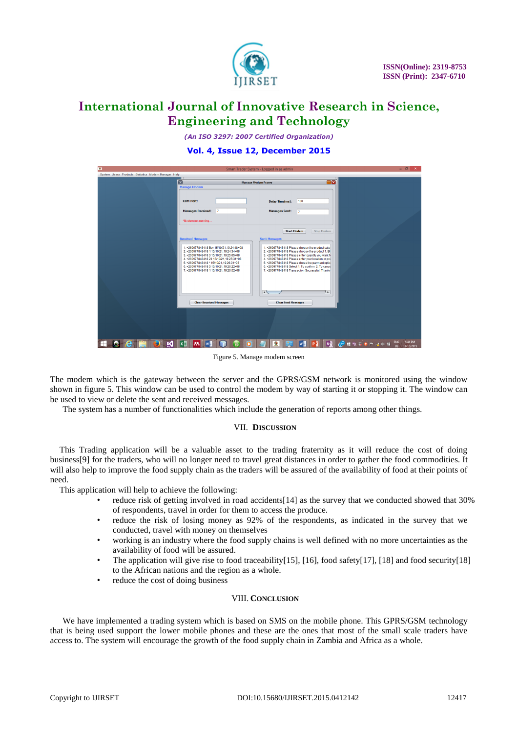

*(An ISO 3297: 2007 Certified Organization)*

**Vol. 4, Issue 12, December 2015**

| œ.                                                  |                                                                                                                                                                                                                                                                                                               | Smart Trader System - Logged in as admin                                                                                                                                                                                                                                                                                                                                   | - - x                                                                    |
|-----------------------------------------------------|---------------------------------------------------------------------------------------------------------------------------------------------------------------------------------------------------------------------------------------------------------------------------------------------------------------|----------------------------------------------------------------------------------------------------------------------------------------------------------------------------------------------------------------------------------------------------------------------------------------------------------------------------------------------------------------------------|--------------------------------------------------------------------------|
| System Users Products Statistics Modem Manager Help |                                                                                                                                                                                                                                                                                                               |                                                                                                                                                                                                                                                                                                                                                                            |                                                                          |
|                                                     | $\Box$<br><b>Manage Modem Frame</b><br><b>Manage Modem</b>                                                                                                                                                                                                                                                    | $\Box$ x                                                                                                                                                                                                                                                                                                                                                                   |                                                                          |
|                                                     | <b>COM Port:</b><br>17<br><b>Messages Received:</b>                                                                                                                                                                                                                                                           | 100<br><b>Delay Time(ms):</b><br><b>Massages Sent:</b>                                                                                                                                                                                                                                                                                                                     |                                                                          |
|                                                     | *Modem not running                                                                                                                                                                                                                                                                                            | 17                                                                                                                                                                                                                                                                                                                                                                         |                                                                          |
|                                                     |                                                                                                                                                                                                                                                                                                               | <b>Start Modem</b><br><b>Stop Modem</b>                                                                                                                                                                                                                                                                                                                                    |                                                                          |
|                                                     | <b>Received Messages</b>                                                                                                                                                                                                                                                                                      | <b>Sent Messages</b>                                                                                                                                                                                                                                                                                                                                                       |                                                                          |
|                                                     | 1. +260977848418 Buy 15/10/21,19:24:08+08<br>2. +260977848418 1 15/10/21.19:24:34+08<br>3. +260977848418 3 15/10/21.19:25:05+08<br>4. +260977848418 20 15/10/21, 19:25:31+08<br>5. +260977848418 * 15/10/21.19:26:01+08<br>6. +260977848418 3 15/10/21,19:26:22+08<br>7. +260977848418 1 15/10/21.19:26:52+08 | 1. +260977848418 Please choose the product cate<br>2. +260977848418 Please choose the product 1. Bl<br>3. +260977848418 Please enter quantity you want fi<br>4. +260977848418 Please enter your location or pre<br>5. +260977848418 Please chose the payment optic<br>6. +260977848418 Select 1. To confirm 2. To cance<br>7. +260977848418 Transaction Successful, Thanky |                                                                          |
|                                                     |                                                                                                                                                                                                                                                                                                               | E                                                                                                                                                                                                                                                                                                                                                                          |                                                                          |
|                                                     | <b>Clear Received Messages</b>                                                                                                                                                                                                                                                                                | <b>Clear Sent Messages</b>                                                                                                                                                                                                                                                                                                                                                 |                                                                          |
|                                                     |                                                                                                                                                                                                                                                                                                               |                                                                                                                                                                                                                                                                                                                                                                            |                                                                          |
| м                                                   | $x \equiv$<br>лA.                                                                                                                                                                                                                                                                                             | $w \equiv$<br>$N^2$                                                                                                                                                                                                                                                                                                                                                        | 5:44 PM<br><b>ENG</b><br><b>COMMENT PAINT</b><br>11/12/2015<br><b>US</b> |

Figure 5. Manage modem screen

The modem which is the gateway between the server and the GPRS/GSM network is monitored using the window shown in figure 5. This window can be used to control the modem by way of starting it or stopping it. The window can be used to view or delete the sent and received messages.

The system has a number of functionalities which include the generation of reports among other things.

### VII. **DISCUSSION**

This Trading application will be a valuable asset to the trading fraternity as it will reduce the cost of doing business[9] for the traders, who will no longer need to travel great distances in order to gather the food commodities. It will also help to improve the food supply chain as the traders will be assured of the availability of food at their points of need.

This application will help to achieve the following:

- reduce risk of getting involved in road accidents[14] as the survey that we conducted showed that 30% of respondents, travel in order for them to access the produce.
- reduce the risk of losing money as 92% of the respondents, as indicated in the survey that we conducted, travel with money on themselves
- working is an industry where the food supply chains is well defined with no more uncertainties as the availability of food will be assured.
- The application will give rise to food traceability[15], [16], food safety[17], [18] and food security[18] to the African nations and the region as a whole.
- reduce the cost of doing business

#### VIII. **CONCLUSION**

We have implemented a trading system which is based on SMS on the mobile phone. This GPRS/GSM technology that is being used support the lower mobile phones and these are the ones that most of the small scale traders have access to. The system will encourage the growth of the food supply chain in Zambia and Africa as a whole.